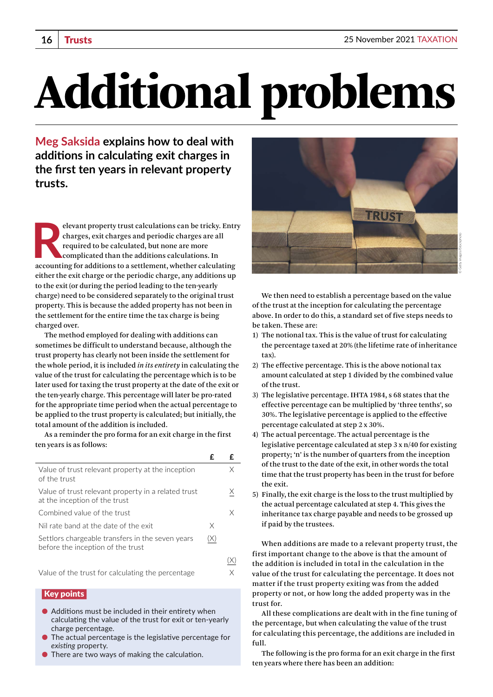# Additional problems

**Meg Saksida explains how to deal with additions in calculating exit charges in the first ten years in relevant property trusts.**

Elevant property trust calculations can be tricky. Entr<br>
charges, exit charges and periodic charges are all<br>
required to be calculated, but none are more<br>
complicated than the additions calculations. In<br>
accounting for add elevant property trust calculations can be tricky. Entry charges, exit charges and periodic charges are all required to be calculated, but none are more complicated than the additions calculations. In either the exit charge or the periodic charge, any additions up to the exit (or during the period leading to the ten-yearly charge) need to be considered separately to the original trust property. This is because the added property has not been in the settlement for the entire time the tax charge is being charged over.

The method employed for dealing with additions can sometimes be difficult to understand because, although the trust property has clearly not been inside the settlement for the whole period, it is included *in its entirety* in calculating the value of the trust for calculating the percentage which is to be later used for taxing the trust property at the date of the exit or the ten-yearly charge. This percentage will later be pro-rated for the appropriate time period when the actual percentage to be applied to the trust property is calculated; but initially, the total amount of the addition is included.

As a reminder the pro forma for an exit charge in the first ten years is as follows:

| Value of trust relevant property at the inception<br>of the trust                     |   | X |
|---------------------------------------------------------------------------------------|---|---|
| Value of trust relevant property in a related trust<br>at the inception of the trust  |   | Х |
| Combined value of the trust                                                           |   | X |
| Nil rate band at the date of the exit                                                 | X |   |
| Settlors chargeable transfers in the seven years<br>before the inception of the trust |   |   |
|                                                                                       |   |   |
| Value of the trust for calculating the percentage                                     |   | Х |

### Key points

- $\bullet$  Additions must be included in their entirety when calculating the value of the trust for exit or ten-yearly charge percentage.
- The actual percentage is the legislative percentage for *existing* property.
- There are two ways of making the calculation.



We then need to establish a percentage based on the value of the trust at the inception for calculating the percentage above. In order to do this, a standard set of five steps needs to be taken. These are:

- 1) The notional tax. This is the value of trust for calculating the percentage taxed at 20% (the lifetime rate of inheritance tax).
- 2) The effective percentage. This is the above notional tax amount calculated at step 1 divided by the combined value of the trust.
- 3) The legislative percentage. IHTA 1984, s 68 states that the effective percentage can be multiplied by 'three tenths', so 30%. The legislative percentage is applied to the effective percentage calculated at step 2 x 30%.
- 4) The actual percentage. The actual percentage is the legislative percentage calculated at step 3 x n/40 for existing property; 'n' is the number of quarters from the inception of the trust to the date of the exit, in other words the total time that the trust property has been in the trust for before the exit.
- 5) Finally, the exit charge is the loss to the trust multiplied by the actual percentage calculated at step 4. This gives the inheritance tax charge payable and needs to be grossed up if paid by the trustees.

When additions are made to a relevant property trust, the first important change to the above is that the amount of the addition is included in total in the calculation in the value of the trust for calculating the percentage. It does not matter if the trust property exiting was from the added property or not, or how long the added property was in the trust for.

All these complications are dealt with in the fine tuning of the percentage, but when calculating the value of the trust for calculating this percentage, the additions are included in full.

The following is the pro forma for an exit charge in the first ten years where there has been an addition: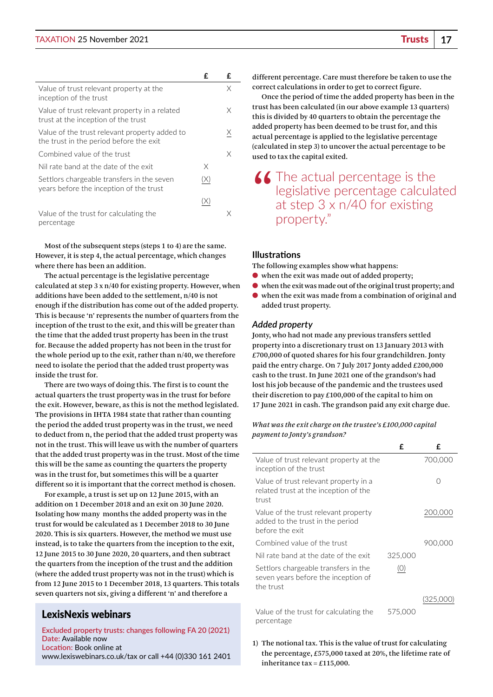#### TAXATION 25 November 2021 Trusts **17**

|                                                                                          | £   | £ |
|------------------------------------------------------------------------------------------|-----|---|
| Value of trust relevant property at the<br>inception of the trust                        |     | Χ |
| Value of trust relevant property in a related<br>trust at the inception of the trust     |     | X |
| Value of the trust relevant property added to<br>the trust in the period before the exit |     | Х |
| Combined value of the trust                                                              |     | Χ |
| Nil rate band at the date of the exit                                                    | Χ   |   |
| Settlors chargeable transfers in the seven<br>years before the inception of the trust    | (X) |   |
|                                                                                          | (X) |   |
| Value of the trust for calculating the<br>percentage                                     |     |   |

Most of the subsequent steps (steps 1 to 4) are the same. However, it is step 4, the actual percentage, which changes where there has been an addition.

The actual percentage is the legislative percentage calculated at step 3 x n/40 for existing property. However, when additions have been added to the settlement, n/40 is not enough if the distribution has come out of the added property. This is because 'n' represents the number of quarters from the inception of the trust to the exit, and this will be greater than the time that the added trust property has been in the trust for. Because the added property has not been in the trust for the whole period up to the exit, rather than n/40, we therefore need to isolate the period that the added trust property was inside the trust for.

There are two ways of doing this. The first is to count the actual quarters the trust property was in the trust for before the exit. However, beware, as this is not the method legislated. The provisions in IHTA 1984 state that rather than counting the period the added trust property was in the trust, we need to deduct from n, the period that the added trust property was not in the trust. This will leave us with the number of quarters that the added trust property was in the trust. Most of the time this will be the same as counting the quarters the property was in the trust for, but sometimes this will be a quarter different so it is important that the correct method is chosen.

For example, a trust is set up on 12 June 2015, with an addition on 1 December 2018 and an exit on 30 June 2020. Isolating how many months the added property was in the trust for would be calculated as 1 December 2018 to 30 June 2020. This is six quarters. However, the method we must use instead, is to take the quarters from the inception to the exit, 12 June 2015 to 30 June 2020, 20 quarters, and then subtract the quarters from the inception of the trust and the addition (where the added trust property was not in the trust) which is from 12 June 2015 to 1 December 2018, 13 quarters. This totals seven quarters not six, giving a different 'n' and therefore a

## LexisNexis webinars

**Excluded property trusts: changes following FA 20 (2021) Date:** Available now **Location:** Book online at [www.lexiswebinars.co.uk/tax](http://www.lexiswebinars.co.uk/tax) or call +44 (0)330 161 2401 different percentage. Care must therefore be taken to use the correct calculations in order to get to correct figure.

Once the period of time the added property has been in the trust has been calculated (in our above example 13 quarters) this is divided by 40 quarters to obtain the percentage the added property has been deemed to be trust for, and this actual percentage is applied to the legislative percentage (calculated in step 3) to uncover the actual percentage to be used to tax the capital exited.

The actual percentage is the<br>
legislative percentage calcula<br>
at step  $3 \times n/40$  for existing legislative percentage calculated at step 3 x n/40 for existing property."

#### **Illustrations**

The following examples show what happens:

- when the exit was made out of added property;
- when the exit was made out of the original trust property; and
- when the exit was made from a combination of original and added trust property.

#### *Added property*

Jonty, who had not made any previous transfers settled property into a discretionary trust on 13 January 2013 with £700,000 of quoted shares for his four grandchildren. Jonty paid the entry charge. On 7 July 2017 Jonty added £200,000 cash to the trust. In June 2021 one of the grandson's had lost his job because of the pandemic and the trustees used their discretion to pay £100,000 of the capital to him on 17 June 2021 in cash. The grandson paid any exit charge due.

*What was the exit charge on the trustee's £100,000 capital payment to Jonty's grandson?*

|                                                                                             | £       | £         |
|---------------------------------------------------------------------------------------------|---------|-----------|
| Value of trust relevant property at the<br>inception of the trust                           |         | 700,000   |
| Value of trust relevant property in a<br>related trust at the inception of the<br>trust     |         | ∩         |
| Value of the trust relevant property<br>added to the trust in the period<br>before the exit |         | 200,000   |
| Combined value of the trust                                                                 |         | 900.000   |
| Nil rate band at the date of the exit                                                       | 325,000 |           |
| Settlors chargeable transfers in the<br>seven years before the inception of<br>the trust    | (O)     |           |
|                                                                                             |         | (325,000) |
| Value of the trust for calculating the<br>percentage                                        | 575,000 |           |

1) The notional tax. This is the value of trust for calculating the percentage, £575,000 taxed at 20%, the lifetime rate of inheritance tax = £115,000.